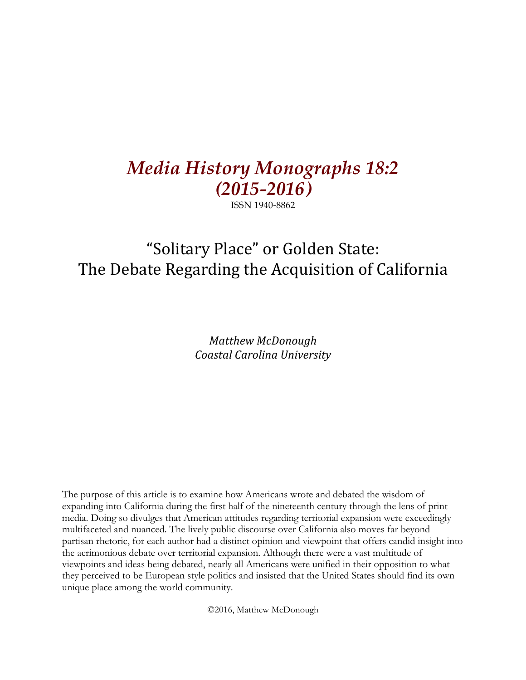# *Media History Monographs 18:2 (2015-2016)*

ISSN 1940-8862

# "Solitary Place" or Golden State: The Debate Regarding the Acquisition of California

*Matthew McDonough Coastal Carolina University*

The purpose of this article is to examine how Americans wrote and debated the wisdom of expanding into California during the first half of the nineteenth century through the lens of print media. Doing so divulges that American attitudes regarding territorial expansion were exceedingly multifaceted and nuanced. The lively public discourse over California also moves far beyond partisan rhetoric, for each author had a distinct opinion and viewpoint that offers candid insight into the acrimonious debate over territorial expansion. Although there were a vast multitude of viewpoints and ideas being debated, nearly all Americans were unified in their opposition to what they perceived to be European style politics and insisted that the United States should find its own unique place among the world community.

©2016, Matthew McDonough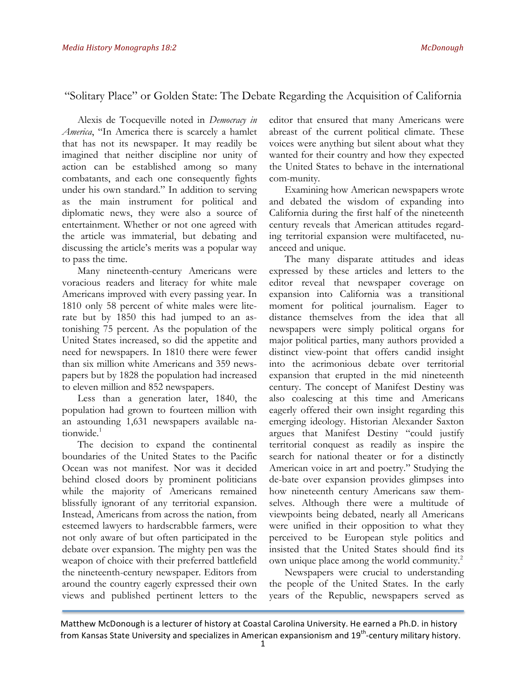## "Solitary Place" or Golden State: The Debate Regarding the Acquisition of California

Alexis de Tocqueville noted in *Democracy in America*, "In America there is scarcely a hamlet that has not its newspaper. It may readily be imagined that neither discipline nor unity of action can be established among so many combatants, and each one consequently fights under his own standard." In addition to serving as the main instrument for political and diplomatic news, they were also a source of entertainment. Whether or not one agreed with the article was immaterial, but debating and discussing the article's merits was a popular way to pass the time.

Many nineteenth-century Americans were voracious readers and literacy for white male Americans improved with every passing year. In 1810 only 58 percent of white males were literate but by 1850 this had jumped to an astonishing 75 percent. As the population of the United States increased, so did the appetite and need for newspapers. In 1810 there were fewer than six million white Americans and 359 newspapers but by 1828 the population had increased to eleven million and 852 newspapers.

Less than a generation later, 1840, the population had grown to fourteen million with an astounding 1,631 newspapers available nationwide.<sup>1</sup>

The decision to expand the continental boundaries of the United States to the Pacific Ocean was not manifest. Nor was it decided behind closed doors by prominent politicians while the majority of Americans remained blissfully ignorant of any territorial expansion. Instead, Americans from across the nation, from esteemed lawyers to hardscrabble farmers, were not only aware of but often participated in the debate over expansion. The mighty pen was the weapon of choice with their preferred battlefield the nineteenth-century newspaper. Editors from around the country eagerly expressed their own views and published pertinent letters to the editor that ensured that many Americans were abreast of the current political climate. These voices were anything but silent about what they wanted for their country and how they expected the United States to behave in the international com-munity.

Examining how American newspapers wrote and debated the wisdom of expanding into California during the first half of the nineteenth century reveals that American attitudes regarding territorial expansion were multifaceted, nuanceed and unique.

The many disparate attitudes and ideas expressed by these articles and letters to the editor reveal that newspaper coverage on expansion into California was a transitional moment for political journalism. Eager to distance themselves from the idea that all newspapers were simply political organs for major political parties, many authors provided a distinct view-point that offers candid insight into the acrimonious debate over territorial expansion that erupted in the mid nineteenth century. The concept of Manifest Destiny was also coalescing at this time and Americans eagerly offered their own insight regarding this emerging ideology. Historian Alexander Saxton argues that Manifest Destiny "could justify territorial conquest as readily as inspire the search for national theater or for a distinctly American voice in art and poetry." Studying the de-bate over expansion provides glimpses into how nineteenth century Americans saw themselves. Although there were a multitude of viewpoints being debated, nearly all Americans were unified in their opposition to what they perceived to be European style politics and insisted that the United States should find its own unique place among the world community.<sup>2</sup>

Newspapers were crucial to understanding the people of the United States. In the early years of the Republic, newspapers served as

Matthew McDonough is a lecturer of history at Coastal Carolina University. He earned a Ph.D. in history from Kansas State University and specializes in American expansionism and 19<sup>th</sup>-century military history.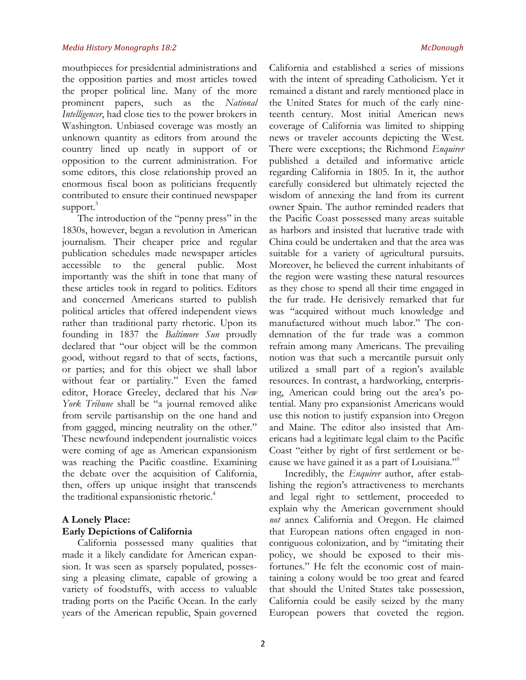mouthpieces for presidential administrations and the opposition parties and most articles towed the proper political line. Many of the more prominent papers, such as the *National Intelligencer*, had close ties to the power brokers in Washington. Unbiased coverage was mostly an unknown quantity as editors from around the country lined up neatly in support of or opposition to the current administration. For some editors, this close relationship proved an enormous fiscal boon as politicians frequently contributed to ensure their continued newspaper support.<sup>3</sup>

The introduction of the "penny press" in the 1830s, however, began a revolution in American journalism. Their cheaper price and regular publication schedules made newspaper articles accessible to the general public. Most importantly was the shift in tone that many of these articles took in regard to politics. Editors and concerned Americans started to publish political articles that offered independent views rather than traditional party rhetoric. Upon its founding in 1837 the *Baltimore Sun* proudly declared that "our object will be the common good, without regard to that of sects, factions, or parties; and for this object we shall labor without fear or partiality." Even the famed editor, Horace Greeley, declared that his *New York Tribune* shall be "a journal removed alike from servile partisanship on the one hand and from gagged, mincing neutrality on the other." These newfound independent journalistic voices were coming of age as American expansionism was reaching the Pacific coastline. Examining the debate over the acquisition of California, then, offers up unique insight that transcends the traditional expansionistic rhetoric.<sup>4</sup>

## **A Lonely Place: Early Depictions of California**

California possessed many qualities that made it a likely candidate for American expansion. It was seen as sparsely populated, possessing a pleasing climate, capable of growing a variety of foodstuffs, with access to valuable trading ports on the Pacific Ocean. In the early years of the American republic, Spain governed California and established a series of missions with the intent of spreading Catholicism. Yet it remained a distant and rarely mentioned place in the United States for much of the early nineteenth century. Most initial American news coverage of California was limited to shipping news or traveler accounts depicting the West. There were exceptions; the Richmond *Enquirer* published a detailed and informative article regarding California in 1805. In it, the author carefully considered but ultimately rejected the wisdom of annexing the land from its current owner Spain. The author reminded readers that the Pacific Coast possessed many areas suitable as harbors and insisted that lucrative trade with China could be undertaken and that the area was suitable for a variety of agricultural pursuits. Moreover, he believed the current inhabitants of the region were wasting these natural resources as they chose to spend all their time engaged in the fur trade. He derisively remarked that fur was "acquired without much knowledge and manufactured without much labor." The condemnation of the fur trade was a common refrain among many Americans. The prevailing notion was that such a mercantile pursuit only utilized a small part of a region's available resources. In contrast, a hardworking, enterprising, American could bring out the area's potential. Many pro expansionist Americans would use this notion to justify expansion into Oregon and Maine. The editor also insisted that Americans had a legitimate legal claim to the Pacific Coast "either by right of first settlement or because we have gained it as a part of Louisiana."5

Incredibly, the *Enquirer* author, after establishing the region's attractiveness to merchants and legal right to settlement, proceeded to explain why the American government should *not* annex California and Oregon. He claimed that European nations often engaged in noncontiguous colonization, and by "imitating their policy, we should be exposed to their misfortunes." He felt the economic cost of maintaining a colony would be too great and feared that should the United States take possession, California could be easily seized by the many European powers that coveted the region.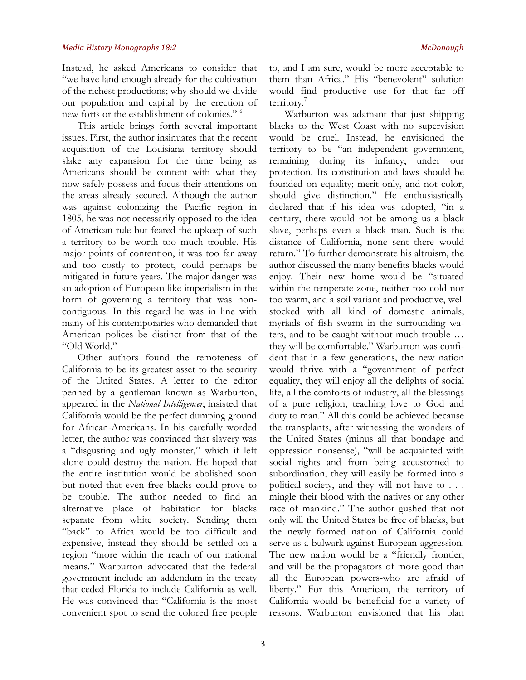Instead, he asked Americans to consider that "we have land enough already for the cultivation of the richest productions; why should we divide our population and capital by the erection of new forts or the establishment of colonies." 6

This article brings forth several important issues. First, the author insinuates that the recent acquisition of the Louisiana territory should slake any expansion for the time being as Americans should be content with what they now safely possess and focus their attentions on the areas already secured. Although the author was against colonizing the Pacific region in 1805, he was not necessarily opposed to the idea of American rule but feared the upkeep of such a territory to be worth too much trouble. His major points of contention, it was too far away and too costly to protect, could perhaps be mitigated in future years. The major danger was an adoption of European like imperialism in the form of governing a territory that was noncontiguous. In this regard he was in line with many of his contemporaries who demanded that American polices be distinct from that of the "Old World."

Other authors found the remoteness of California to be its greatest asset to the security of the United States. A letter to the editor penned by a gentleman known as Warburton, appeared in the *National Intelligencer*, insisted that California would be the perfect dumping ground for African-Americans. In his carefully worded letter, the author was convinced that slavery was a "disgusting and ugly monster," which if left alone could destroy the nation. He hoped that the entire institution would be abolished soon but noted that even free blacks could prove to be trouble. The author needed to find an alternative place of habitation for blacks separate from white society. Sending them "back" to Africa would be too difficult and expensive, instead they should be settled on a region "more within the reach of our national means." Warburton advocated that the federal government include an addendum in the treaty that ceded Florida to include California as well. He was convinced that "California is the most convenient spot to send the colored free people

to, and I am sure, would be more acceptable to them than Africa." His "benevolent" solution would find productive use for that far off territory.

Warburton was adamant that just shipping blacks to the West Coast with no supervision would be cruel. Instead, he envisioned the territory to be "an independent government, remaining during its infancy, under our protection. Its constitution and laws should be founded on equality; merit only, and not color, should give distinction." He enthusiastically declared that if his idea was adopted, "in a century, there would not be among us a black slave, perhaps even a black man. Such is the distance of California, none sent there would return." To further demonstrate his altruism, the author discussed the many benefits blacks would enjoy. Their new home would be "situated within the temperate zone, neither too cold nor too warm, and a soil variant and productive, well stocked with all kind of domestic animals; myriads of fish swarm in the surrounding waters, and to be caught without much trouble … they will be comfortable." Warburton was confident that in a few generations, the new nation would thrive with a "government of perfect equality, they will enjoy all the delights of social life, all the comforts of industry, all the blessings of a pure religion, teaching love to God and duty to man." All this could be achieved because the transplants, after witnessing the wonders of the United States (minus all that bondage and oppression nonsense), "will be acquainted with social rights and from being accustomed to subordination, they will easily be formed into a political society, and they will not have to . . . mingle their blood with the natives or any other race of mankind." The author gushed that not only will the United States be free of blacks, but the newly formed nation of California could serve as a bulwark against European aggression. The new nation would be a "friendly frontier, and will be the propagators of more good than all the European powers-who are afraid of liberty." For this American, the territory of California would be beneficial for a variety of reasons. Warburton envisioned that his plan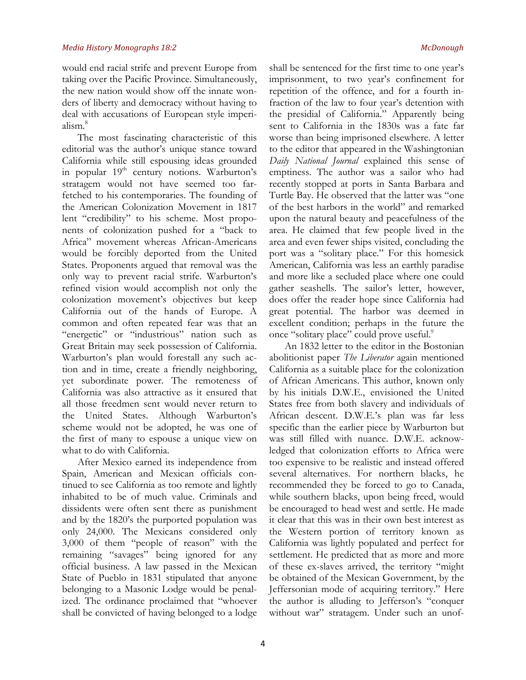would end racial strife and prevent Europe from taking over the Pacific Province. Simultaneously, the new nation would show off the innate wonders of liberty and democracy without having to deal with accusations of European style imperialism.8

The most fascinating characteristic of this editorial was the author's unique stance toward California while still espousing ideas grounded in popular 19<sup>th</sup> century notions. Warburton's stratagem would not have seemed too farfetched to his contemporaries. The founding of the American Colonization Movement in 1817 lent "credibility" to his scheme. Most proponents of colonization pushed for a "back to Africa" movement whereas African-Americans would be forcibly deported from the United States. Proponents argued that removal was the only way to prevent racial strife. Warburton's refined vision would accomplish not only the colonization movement's objectives but keep California out of the hands of Europe. A common and often repeated fear was that an "energetic" or "industrious" nation such as Great Britain may seek possession of California. Warburton's plan would forestall any such action and in time, create a friendly neighboring, yet subordinate power. The remoteness of California was also attractive as it ensured that all those freedmen sent would never return to the United States. Although Warburton's scheme would not be adopted, he was one of the first of many to espouse a unique view on what to do with California.

After Mexico earned its independence from Spain, American and Mexican officials continued to see California as too remote and lightly inhabited to be of much value. Criminals and dissidents were often sent there as punishment and by the 1820's the purported population was only 24,000. The Mexicans considered only 3,000 of them "people of reason" with the remaining "savages" being ignored for any official business. A law passed in the Mexican State of Pueblo in 1831 stipulated that anyone belonging to a Masonic Lodge would be penalized. The ordinance proclaimed that "whoever shall be convicted of having belonged to a lodge shall be sentenced for the first time to one year's imprisonment, to two year's confinement for repetition of the offence, and for a fourth infraction of the law to four year's detention with the presidial of California." Apparently being sent to California in the 1830s was a fate far worse than being imprisoned elsewhere. A letter to the editor that appeared in the Washingtonian *Daily National Journal* explained this sense of emptiness. The author was a sailor who had recently stopped at ports in Santa Barbara and Turtle Bay. He observed that the latter was "one of the best harbors in the world" and remarked upon the natural beauty and peacefulness of the area. He claimed that few people lived in the area and even fewer ships visited, concluding the port was a "solitary place." For this homesick American, California was less an earthly paradise and more like a secluded place where one could gather seashells. The sailor's letter, however, does offer the reader hope since California had great potential. The harbor was deemed in excellent condition; perhaps in the future the once "solitary place" could prove useful.<sup>9</sup>

An 1832 letter to the editor in the Bostonian abolitionist paper *The Liberator* again mentioned California as a suitable place for the colonization of African Americans. This author, known only by his initials D.W.E., envisioned the United States free from both slavery and individuals of African descent. D.W.E.'s plan was far less specific than the earlier piece by Warburton but was still filled with nuance. D.W.E. acknowledged that colonization efforts to Africa were too expensive to be realistic and instead offered several alternatives. For northern blacks, he recommended they be forced to go to Canada, while southern blacks, upon being freed, would be encouraged to head west and settle. He made it clear that this was in their own best interest as the Western portion of territory known as California was lightly populated and perfect for settlement. He predicted that as more and more of these ex-slaves arrived, the territory "might be obtained of the Mexican Government, by the Jeffersonian mode of acquiring territory." Here the author is alluding to Jefferson's "conquer without war" stratagem. Under such an unof-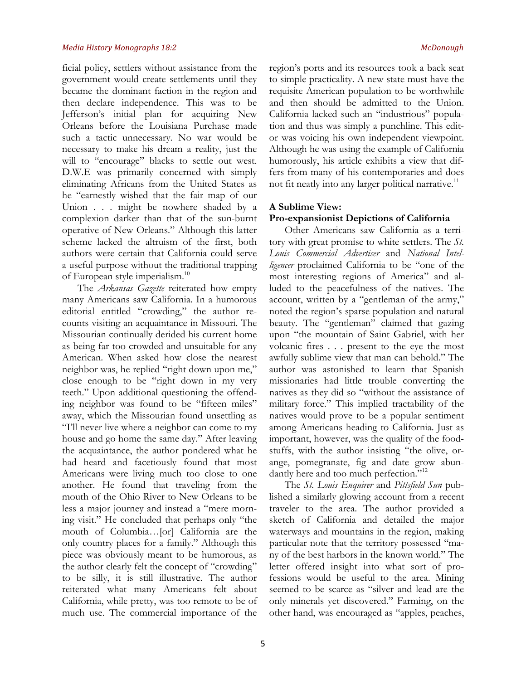ficial policy, settlers without assistance from the government would create settlements until they became the dominant faction in the region and then declare independence. This was to be Jefferson's initial plan for acquiring New Orleans before the Louisiana Purchase made such a tactic unnecessary. No war would be necessary to make his dream a reality, just the will to "encourage" blacks to settle out west. D.W.E was primarily concerned with simply eliminating Africans from the United States as he "earnestly wished that the fair map of our Union . . . might be nowhere shaded by a complexion darker than that of the sun-burnt operative of New Orleans." Although this latter scheme lacked the altruism of the first, both authors were certain that California could serve a useful purpose without the traditional trapping of European style imperialism.<sup>10</sup>

The *Arkansas Gazette* reiterated how empty many Americans saw California. In a humorous editorial entitled "crowding," the author recounts visiting an acquaintance in Missouri. The Missourian continually derided his current home as being far too crowded and unsuitable for any American. When asked how close the nearest neighbor was, he replied "right down upon me," close enough to be "right down in my very teeth." Upon additional questioning the offending neighbor was found to be "fifteen miles" away, which the Missourian found unsettling as "I'll never live where a neighbor can come to my house and go home the same day." After leaving the acquaintance, the author pondered what he had heard and facetiously found that most Americans were living much too close to one another. He found that traveling from the mouth of the Ohio River to New Orleans to be less a major journey and instead a "mere morning visit." He concluded that perhaps only "the mouth of Columbia…[or] California are the only country places for a family." Although this piece was obviously meant to be humorous, as the author clearly felt the concept of "crowding" to be silly, it is still illustrative. The author reiterated what many Americans felt about California, while pretty, was too remote to be of much use. The commercial importance of the

region's ports and its resources took a back seat to simple practicality. A new state must have the requisite American population to be worthwhile and then should be admitted to the Union. California lacked such an "industrious" population and thus was simply a punchline. This editor was voicing his own independent viewpoint. Although he was using the example of California humorously, his article exhibits a view that differs from many of his contemporaries and does not fit neatly into any larger political narrative.<sup>11</sup>

### **A Sublime View:**

### **Pro-expansionist Depictions of California**

Other Americans saw California as a territory with great promise to white settlers. The *St. Louis Commercial Advertiser* and *National Intelligencer* proclaimed California to be "one of the most interesting regions of America" and alluded to the peacefulness of the natives. The account, written by a "gentleman of the army," noted the region's sparse population and natural beauty. The "gentleman" claimed that gazing upon "the mountain of Saint Gabriel, with her volcanic fires . . . present to the eye the most awfully sublime view that man can behold." The author was astonished to learn that Spanish missionaries had little trouble converting the natives as they did so "without the assistance of military force." This implied tractability of the natives would prove to be a popular sentiment among Americans heading to California. Just as important, however, was the quality of the foodstuffs, with the author insisting "the olive, orange, pomegranate, fig and date grow abundantly here and too much perfection."<sup>12</sup>

The *St. Louis Enquirer* and *Pittsfield Sun* published a similarly glowing account from a recent traveler to the area. The author provided a sketch of California and detailed the major waterways and mountains in the region, making particular note that the territory possessed "many of the best harbors in the known world." The letter offered insight into what sort of professions would be useful to the area. Mining seemed to be scarce as "silver and lead are the only minerals yet discovered." Farming, on the other hand, was encouraged as "apples, peaches,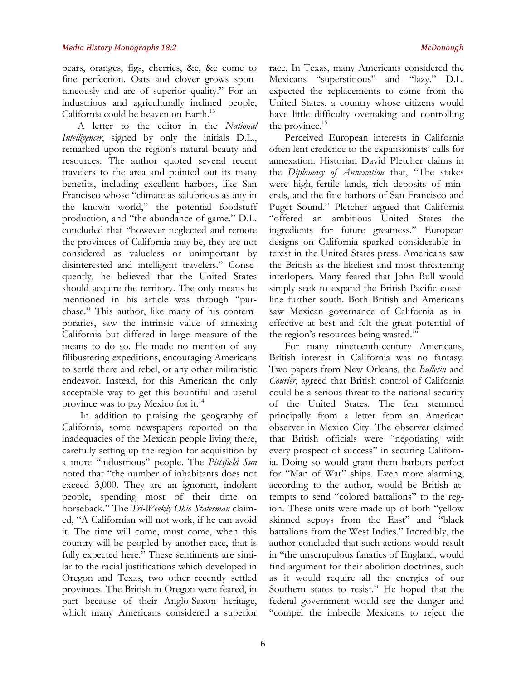pears, oranges, figs, cherries, &c, &c come to fine perfection. Oats and clover grows spontaneously and are of superior quality." For an industrious and agriculturally inclined people, California could be heaven on Earth.<sup>13</sup>

A letter to the editor in the *National Intelligencer*, signed by only the initials D.L., remarked upon the region's natural beauty and resources. The author quoted several recent travelers to the area and pointed out its many benefits, including excellent harbors, like San Francisco whose "climate as salubrious as any in the known world," the potential foodstuff production, and "the abundance of game." D.L. concluded that "however neglected and remote the provinces of California may be, they are not considered as valueless or unimportant by disinterested and intelligent travelers." Consequently, he believed that the United States should acquire the territory. The only means he mentioned in his article was through "purchase." This author, like many of his contemporaries, saw the intrinsic value of annexing California but differed in large measure of the means to do so. He made no mention of any filibustering expeditions, encouraging Americans to settle there and rebel, or any other militaristic endeavor. Instead, for this American the only acceptable way to get this bountiful and useful province was to pay Mexico for it.<sup>14</sup>

In addition to praising the geography of California, some newspapers reported on the inadequacies of the Mexican people living there, carefully setting up the region for acquisition by a more "industrious" people. The *Pittsfield Sun* noted that "the number of inhabitants does not exceed 3,000. They are an ignorant, indolent people, spending most of their time on horseback." The *Tri-Weekly Ohio Statesman* claimed, "A Californian will not work, if he can avoid it. The time will come, must come, when this country will be peopled by another race, that is fully expected here." These sentiments are similar to the racial justifications which developed in Oregon and Texas, two other recently settled provinces. The British in Oregon were feared, in part because of their Anglo-Saxon heritage, which many Americans considered a superior

race. In Texas, many Americans considered the Mexicans "superstitious" and "lazy." D.L. expected the replacements to come from the United States, a country whose citizens would have little difficulty overtaking and controlling the province. $15$ 

Perceived European interests in California often lent credence to the expansionists' calls for annexation. Historian David Pletcher claims in the *Diplomacy of Annexation* that, "The stakes were high,-fertile lands, rich deposits of minerals, and the fine harbors of San Francisco and Puget Sound." Pletcher argued that California "offered an ambitious United States the ingredients for future greatness." European designs on California sparked considerable interest in the United States press. Americans saw the British as the likeliest and most threatening interlopers. Many feared that John Bull would simply seek to expand the British Pacific coastline further south. Both British and Americans saw Mexican governance of California as ineffective at best and felt the great potential of the region's resources being wasted.<sup>16</sup>

For many nineteenth-century Americans, British interest in California was no fantasy. Two papers from New Orleans, the *Bulletin* and *Courier*, agreed that British control of California could be a serious threat to the national security of the United States. The fear stemmed principally from a letter from an American observer in Mexico City. The observer claimed that British officials were "negotiating with every prospect of success" in securing California. Doing so would grant them harbors perfect for "Man of War" ships. Even more alarming, according to the author, would be British attempts to send "colored battalions" to the region. These units were made up of both "yellow skinned sepoys from the East" and "black battalions from the West Indies." Incredibly, the author concluded that such actions would result in "the unscrupulous fanatics of England, would find argument for their abolition doctrines, such as it would require all the energies of our Southern states to resist." He hoped that the federal government would see the danger and "compel the imbecile Mexicans to reject the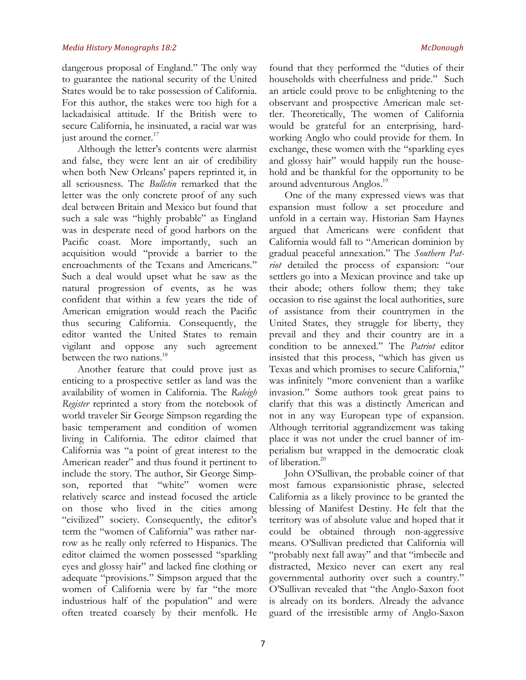dangerous proposal of England." The only way to guarantee the national security of the United States would be to take possession of California. For this author, the stakes were too high for a lackadaisical attitude. If the British were to secure California, he insinuated, a racial war was just around the corner. $17$ 

Although the letter's contents were alarmist and false, they were lent an air of credibility when both New Orleans' papers reprinted it, in all seriousness. The *Bulletin* remarked that the letter was the only concrete proof of any such deal between Britain and Mexico but found that such a sale was "highly probable" as England was in desperate need of good harbors on the Pacific coast. More importantly, such an acquisition would "provide a barrier to the encroachments of the Texans and Americans." Such a deal would upset what he saw as the natural progression of events, as he was confident that within a few years the tide of American emigration would reach the Pacific thus securing California. Consequently, the editor wanted the United States to remain vigilant and oppose any such agreement between the two nations.<sup>18</sup>

Another feature that could prove just as enticing to a prospective settler as land was the availability of women in California. The *Raleigh Register* reprinted a story from the notebook of world traveler Sir George Simpson regarding the basic temperament and condition of women living in California. The editor claimed that California was "a point of great interest to the American reader" and thus found it pertinent to include the story. The author, Sir George Simpson, reported that "white" women were relatively scarce and instead focused the article on those who lived in the cities among "civilized" society. Consequently, the editor's term the "women of California" was rather narrow as he really only referred to Hispanics. The editor claimed the women possessed "sparkling eyes and glossy hair" and lacked fine clothing or adequate "provisions." Simpson argued that the women of California were by far "the more industrious half of the population" and were often treated coarsely by their menfolk. He

found that they performed the "duties of their households with cheerfulness and pride." Such an article could prove to be enlightening to the observant and prospective American male settler. Theoretically, The women of California would be grateful for an enterprising, hardworking Anglo who could provide for them. In exchange, these women with the "sparkling eyes and glossy hair" would happily run the household and be thankful for the opportunity to be around adventurous Anglos.<sup>19</sup>

One of the many expressed views was that expansion must follow a set procedure and unfold in a certain way. Historian Sam Haynes argued that Americans were confident that California would fall to "American dominion by gradual peaceful annexation." The *Southern Patriot* detailed the process of expansion: "our settlers go into a Mexican province and take up their abode; others follow them; they take occasion to rise against the local authorities, sure of assistance from their countrymen in the United States, they struggle for liberty, they prevail and they and their country are in a condition to be annexed." The *Patriot* editor insisted that this process, "which has given us Texas and which promises to secure California," was infinitely "more convenient than a warlike invasion." Some authors took great pains to clarify that this was a distinctly American and not in any way European type of expansion. Although territorial aggrandizement was taking place it was not under the cruel banner of imperialism but wrapped in the democratic cloak of liberation.<sup>20</sup>

John O'Sullivan, the probable coiner of that most famous expansionistic phrase, selected California as a likely province to be granted the blessing of Manifest Destiny. He felt that the territory was of absolute value and hoped that it could be obtained through non-aggressive means. O'Sullivan predicted that California will "probably next fall away" and that "imbecile and distracted, Mexico never can exert any real governmental authority over such a country." O'Sullivan revealed that "the Anglo-Saxon foot is already on its borders. Already the advance guard of the irresistible army of Anglo-Saxon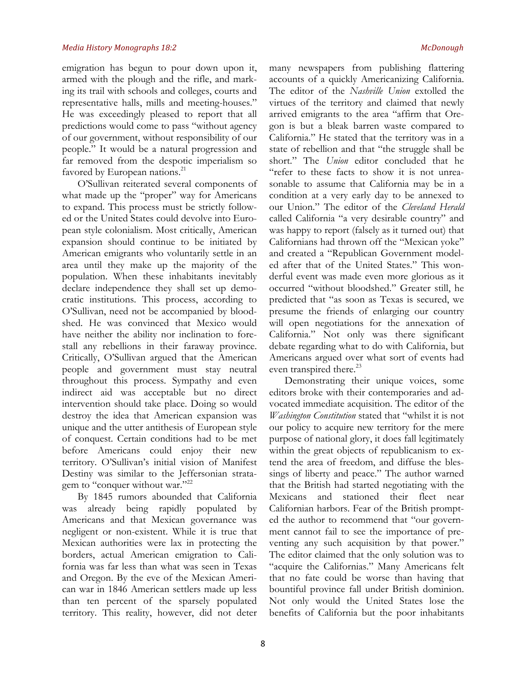emigration has begun to pour down upon it, armed with the plough and the rifle, and marking its trail with schools and colleges, courts and representative halls, mills and meeting-houses." He was exceedingly pleased to report that all predictions would come to pass "without agency of our government, without responsibility of our people." It would be a natural progression and far removed from the despotic imperialism so favored by European nations.<sup>21</sup>

O'Sullivan reiterated several components of what made up the "proper" way for Americans to expand. This process must be strictly followed or the United States could devolve into European style colonialism. Most critically, American expansion should continue to be initiated by American emigrants who voluntarily settle in an area until they make up the majority of the population. When these inhabitants inevitably declare independence they shall set up democratic institutions. This process, according to O'Sullivan, need not be accompanied by bloodshed. He was convinced that Mexico would have neither the ability nor inclination to forestall any rebellions in their faraway province. Critically, O'Sullivan argued that the American people and government must stay neutral throughout this process. Sympathy and even indirect aid was acceptable but no direct intervention should take place. Doing so would destroy the idea that American expansion was unique and the utter antithesis of European style of conquest. Certain conditions had to be met before Americans could enjoy their new territory. O'Sullivan's initial vision of Manifest Destiny was similar to the Jeffersonian stratagem to "conquer without war."<sup>22</sup>

By 1845 rumors abounded that California was already being rapidly populated by Americans and that Mexican governance was negligent or non-existent. While it is true that Mexican authorities were lax in protecting the borders, actual American emigration to California was far less than what was seen in Texas and Oregon. By the eve of the Mexican American war in 1846 American settlers made up less than ten percent of the sparsely populated territory. This reality, however, did not deter many newspapers from publishing flattering accounts of a quickly Americanizing California. The editor of the *Nashville Union* extolled the virtues of the territory and claimed that newly arrived emigrants to the area "affirm that Oregon is but a bleak barren waste compared to California." He stated that the territory was in a state of rebellion and that "the struggle shall be short." The *Union* editor concluded that he "refer to these facts to show it is not unreasonable to assume that California may be in a condition at a very early day to be annexed to our Union." The editor of the *Cleveland Herald* called California "a very desirable country" and was happy to report (falsely as it turned out) that Californians had thrown off the "Mexican yoke" and created a "Republican Government modeled after that of the United States." This wonderful event was made even more glorious as it occurred "without bloodshed." Greater still, he predicted that "as soon as Texas is secured, we presume the friends of enlarging our country will open negotiations for the annexation of California." Not only was there significant debate regarding what to do with California, but Americans argued over what sort of events had even transpired there.<sup>23</sup>

Demonstrating their unique voices, some editors broke with their contemporaries and advocated immediate acquisition. The editor of the *Washington Constitution* stated that "whilst it is not our policy to acquire new territory for the mere purpose of national glory, it does fall legitimately within the great objects of republicanism to extend the area of freedom, and diffuse the blessings of liberty and peace." The author warned that the British had started negotiating with the Mexicans and stationed their fleet near Californian harbors. Fear of the British prompted the author to recommend that "our government cannot fail to see the importance of preventing any such acquisition by that power." The editor claimed that the only solution was to "acquire the Californias." Many Americans felt that no fate could be worse than having that bountiful province fall under British dominion. Not only would the United States lose the benefits of California but the poor inhabitants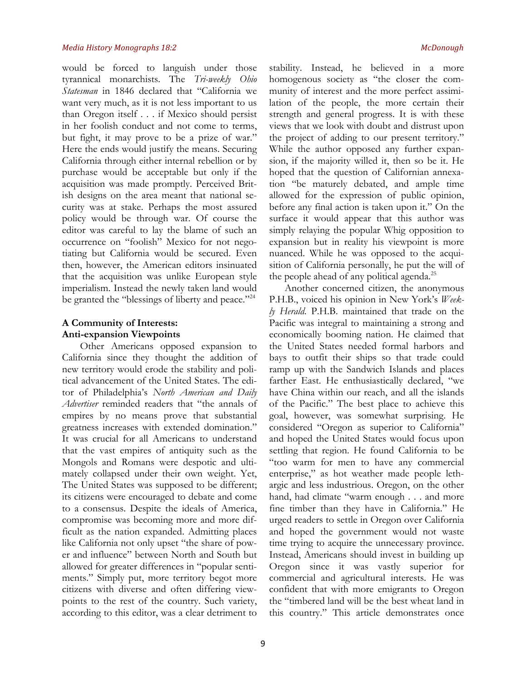would be forced to languish under those tyrannical monarchists. The *Tri-weekly Ohio Statesman* in 1846 declared that "California we want very much, as it is not less important to us than Oregon itself . . . if Mexico should persist in her foolish conduct and not come to terms, but fight, it may prove to be a prize of war." Here the ends would justify the means. Securing California through either internal rebellion or by purchase would be acceptable but only if the acquisition was made promptly. Perceived British designs on the area meant that national security was at stake. Perhaps the most assured policy would be through war. Of course the editor was careful to lay the blame of such an occurrence on "foolish" Mexico for not negotiating but California would be secured. Even then, however, the American editors insinuated that the acquisition was unlike European style imperialism. Instead the newly taken land would be granted the "blessings of liberty and peace."<sup>24</sup>

## **A Community of Interests: Anti-expansion Viewpoints**

Other Americans opposed expansion to California since they thought the addition of new territory would erode the stability and political advancement of the United States. The editor of Philadelphia's *North American and Daily Advertiser* reminded readers that "the annals of empires by no means prove that substantial greatness increases with extended domination." It was crucial for all Americans to understand that the vast empires of antiquity such as the Mongols and Romans were despotic and ultimately collapsed under their own weight. Yet, The United States was supposed to be different; its citizens were encouraged to debate and come to a consensus. Despite the ideals of America, compromise was becoming more and more difficult as the nation expanded. Admitting places like California not only upset "the share of power and influence" between North and South but allowed for greater differences in "popular sentiments." Simply put, more territory begot more citizens with diverse and often differing viewpoints to the rest of the country. Such variety, according to this editor, was a clear detriment to

stability. Instead, he believed in a more homogenous society as "the closer the community of interest and the more perfect assimilation of the people, the more certain their strength and general progress. It is with these views that we look with doubt and distrust upon the project of adding to our present territory." While the author opposed any further expansion, if the majority willed it, then so be it. He hoped that the question of Californian annexation "be maturely debated, and ample time allowed for the expression of public opinion, before any final action is taken upon it." On the surface it would appear that this author was simply relaying the popular Whig opposition to expansion but in reality his viewpoint is more nuanced. While he was opposed to the acquisition of California personally, he put the will of the people ahead of any political agenda.<sup>25</sup>

Another concerned citizen, the anonymous P.H.B., voiced his opinion in New York's *Weekly Herald*. P.H.B. maintained that trade on the Pacific was integral to maintaining a strong and economically booming nation. He claimed that the United States needed formal harbors and bays to outfit their ships so that trade could ramp up with the Sandwich Islands and places farther East. He enthusiastically declared, "we have China within our reach, and all the islands of the Pacific." The best place to achieve this goal, however, was somewhat surprising. He considered "Oregon as superior to California" and hoped the United States would focus upon settling that region. He found California to be "too warm for men to have any commercial enterprise," as hot weather made people lethargic and less industrious. Oregon, on the other hand, had climate "warm enough . . . and more fine timber than they have in California." He urged readers to settle in Oregon over California and hoped the government would not waste time trying to acquire the unnecessary province. Instead, Americans should invest in building up Oregon since it was vastly superior for commercial and agricultural interests. He was confident that with more emigrants to Oregon the "timbered land will be the best wheat land in this country." This article demonstrates once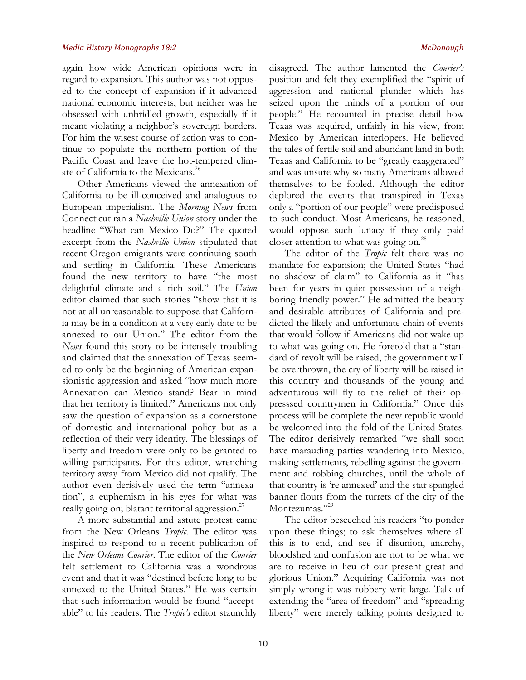again how wide American opinions were in regard to expansion. This author was not opposed to the concept of expansion if it advanced national economic interests, but neither was he obsessed with unbridled growth, especially if it meant violating a neighbor's sovereign borders. For him the wisest course of action was to continue to populate the northern portion of the Pacific Coast and leave the hot-tempered climate of California to the Mexicans.<sup>26</sup>

Other Americans viewed the annexation of California to be ill-conceived and analogous to European imperialism. The *Morning News* from Connecticut ran a *Nashville Union* story under the headline "What can Mexico Do?" The quoted excerpt from the *Nashville Union* stipulated that recent Oregon emigrants were continuing south and settling in California. These Americans found the new territory to have "the most delightful climate and a rich soil." The *Union*  editor claimed that such stories "show that it is not at all unreasonable to suppose that California may be in a condition at a very early date to be annexed to our Union." The editor from the *News* found this story to be intensely troubling and claimed that the annexation of Texas seemed to only be the beginning of American expansionistic aggression and asked "how much more Annexation can Mexico stand? Bear in mind that her territory is limited." Americans not only saw the question of expansion as a cornerstone of domestic and international policy but as a reflection of their very identity. The blessings of liberty and freedom were only to be granted to willing participants. For this editor, wrenching territory away from Mexico did not qualify. The author even derisively used the term "annexation", a euphemism in his eyes for what was really going on; blatant territorial aggression.<sup>27</sup>

A more substantial and astute protest came from the New Orleans *Tropic*. The editor was inspired to respond to a recent publication of the *New Orleans Courier*. The editor of the *Courier*  felt settlement to California was a wondrous event and that it was "destined before long to be annexed to the United States." He was certain that such information would be found "acceptable" to his readers. The *Tropic's* editor staunchly disagreed. The author lamented the *Courier's*  position and felt they exemplified the "spirit of aggression and national plunder which has seized upon the minds of a portion of our people." He recounted in precise detail how Texas was acquired, unfairly in his view, from Mexico by American interlopers. He believed the tales of fertile soil and abundant land in both Texas and California to be "greatly exaggerated" and was unsure why so many Americans allowed themselves to be fooled. Although the editor deplored the events that transpired in Texas only a "portion of our people" were predisposed to such conduct. Most Americans, he reasoned, would oppose such lunacy if they only paid closer attention to what was going on. $^{28}$ 

The editor of the *Tropic* felt there was no mandate for expansion; the United States "had no shadow of claim" to California as it "has been for years in quiet possession of a neighboring friendly power." He admitted the beauty and desirable attributes of California and predicted the likely and unfortunate chain of events that would follow if Americans did not wake up to what was going on. He foretold that a "standard of revolt will be raised, the government will be overthrown, the cry of liberty will be raised in this country and thousands of the young and adventurous will fly to the relief of their oppresssed countrymen in California." Once this process will be complete the new republic would be welcomed into the fold of the United States. The editor derisively remarked "we shall soon have marauding parties wandering into Mexico, making settlements, rebelling against the government and robbing churches, until the whole of that country is 're annexed' and the star spangled banner flouts from the turrets of the city of the Montezumas."<sup>29</sup>

The editor beseeched his readers "to ponder upon these things; to ask themselves where all this is to end, and see if disunion, anarchy, bloodshed and confusion are not to be what we are to receive in lieu of our present great and glorious Union." Acquiring California was not simply wrong-it was robbery writ large. Talk of extending the "area of freedom" and "spreading liberty" were merely talking points designed to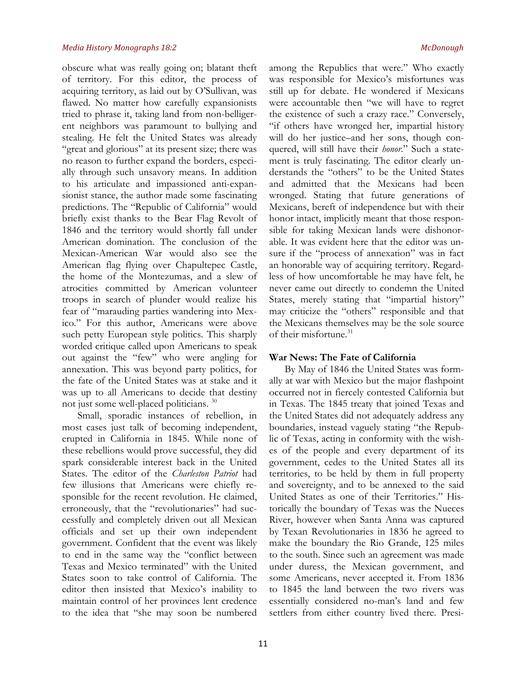obscure what was really going on; blatant theft of territory. For this editor, the process of acquiring territory, as laid out by O'Sullivan, was flawed. No matter how carefully expansionists tried to phrase it, taking land from non-belligerent neighbors was paramount to bullying and stealing. He felt the United States was already "great and glorious" at its present size; there was no reason to further expand the borders, especially through such unsavory means. In addition to his articulate and impassioned anti-expansionist stance, the author made some fascinating predictions. The "Republic of California" would briefly exist thanks to the Bear Flag Revolt of 1846 and the territory would shortly fall under American domination. The conclusion of the Mexican-American War would also see the American flag flying over Chapultepec Castle, the home of the Montezumas, and a slew of atrocities committed by American volunteer troops in search of plunder would realize his fear of "marauding parties wandering into Mexico." For this author, Americans were above such petty European style politics. This sharply worded critique called upon Americans to speak out against the "few" who were angling for annexation. This was beyond party politics, for the fate of the United States was at stake and it was up to all Americans to decide that destiny not just some well-placed politicians. <sup>30</sup>

Small, sporadic instances of rebellion, in most cases just talk of becoming independent, erupted in California in 1845. While none of these rebellions would prove successful, they did spark considerable interest back in the United States. The editor of the *Charleston Patriot* had few illusions that Americans were chiefly responsible for the recent revolution. He claimed, erroneously, that the "revolutionaries" had successfully and completely driven out all Mexican officials and set up their own independent government. Confident that the event was likely to end in the same way the "conflict between Texas and Mexico terminated" with the United States soon to take control of California. The editor then insisted that Mexico's inability to maintain control of her provinces lent credence to the idea that "she may soon be numbered among the Republics that were." Who exactly was responsible for Mexico's misfortunes was still up for debate. He wondered if Mexicans were accountable then "we will have to regret the existence of such a crazy race." Conversely, "if others have wronged her, impartial history will do her justice–and her sons, though conquered, will still have their *honor*." Such a statement is truly fascinating. The editor clearly understands the "others" to be the United States and admitted that the Mexicans had been wronged. Stating that future generations of Mexicans, bereft of independence but with their honor intact, implicitly meant that those responsible for taking Mexican lands were dishonorable. It was evident here that the editor was unsure if the "process of annexation" was in fact an honorable way of acquiring territory. Regardless of how uncomfortable he may have felt, he never came out directly to condemn the United States, merely stating that "impartial history" may criticize the "others" responsible and that the Mexicans themselves may be the sole source of their misfortune.<sup>31</sup>

## **War News: The Fate of California**

By May of 1846 the United States was formally at war with Mexico but the major flashpoint occurred not in fiercely contested California but in Texas. The 1845 treaty that joined Texas and the United States did not adequately address any boundaries, instead vaguely stating "the Republic of Texas, acting in conformity with the wishes of the people and every department of its government, cedes to the United States all its territories, to be held by them in full property and sovereignty, and to be annexed to the said United States as one of their Territories." Historically the boundary of Texas was the Nueces River, however when Santa Anna was captured by Texan Revolutionaries in 1836 he agreed to make the boundary the Rio Grande, 125 miles to the south. Since such an agreement was made under duress, the Mexican government, and some Americans, never accepted it. From 1836 to 1845 the land between the two rivers was essentially considered no-man's land and few settlers from either country lived there. Presi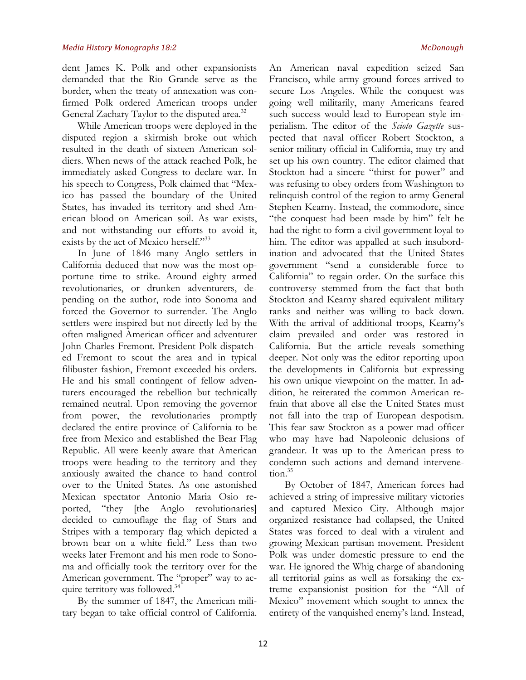dent James K. Polk and other expansionists demanded that the Rio Grande serve as the border, when the treaty of annexation was confirmed Polk ordered American troops under General Zachary Taylor to the disputed area.<sup>32</sup>

While American troops were deployed in the disputed region a skirmish broke out which resulted in the death of sixteen American soldiers. When news of the attack reached Polk, he immediately asked Congress to declare war. In his speech to Congress, Polk claimed that "Mexico has passed the boundary of the United States, has invaded its territory and shed American blood on American soil. As war exists, and not withstanding our efforts to avoid it, exists by the act of Mexico herself."<sup>33</sup>

In June of 1846 many Anglo settlers in California deduced that now was the most opportune time to strike. Around eighty armed revolutionaries, or drunken adventurers, depending on the author, rode into Sonoma and forced the Governor to surrender. The Anglo settlers were inspired but not directly led by the often maligned American officer and adventurer John Charles Fremont. President Polk dispatched Fremont to scout the area and in typical filibuster fashion, Fremont exceeded his orders. He and his small contingent of fellow adventurers encouraged the rebellion but technically remained neutral. Upon removing the governor from power, the revolutionaries promptly declared the entire province of California to be free from Mexico and established the Bear Flag Republic. All were keenly aware that American troops were heading to the territory and they anxiously awaited the chance to hand control over to the United States. As one astonished Mexican spectator Antonio Maria Osio reported, "they [the Anglo revolutionaries] decided to camouflage the flag of Stars and Stripes with a temporary flag which depicted a brown bear on a white field." Less than two weeks later Fremont and his men rode to Sonoma and officially took the territory over for the American government. The "proper" way to acquire territory was followed.<sup>34</sup>

By the summer of 1847, the American military began to take official control of California.

An American naval expedition seized San Francisco, while army ground forces arrived to secure Los Angeles. While the conquest was going well militarily, many Americans feared such success would lead to European style imperialism. The editor of the *Scioto Gazette* suspected that naval officer Robert Stockton, a senior military official in California, may try and set up his own country. The editor claimed that Stockton had a sincere "thirst for power" and was refusing to obey orders from Washington to relinquish control of the region to army General Stephen Kearny. Instead, the commodore, since "the conquest had been made by him" felt he had the right to form a civil government loyal to him. The editor was appalled at such insubordination and advocated that the United States government "send a considerable force to California" to regain order. On the surface this controversy stemmed from the fact that both Stockton and Kearny shared equivalent military ranks and neither was willing to back down. With the arrival of additional troops, Kearny's claim prevailed and order was restored in California. But the article reveals something deeper. Not only was the editor reporting upon the developments in California but expressing his own unique viewpoint on the matter. In addition, he reiterated the common American refrain that above all else the United States must not fall into the trap of European despotism. This fear saw Stockton as a power mad officer who may have had Napoleonic delusions of grandeur. It was up to the American press to condemn such actions and demand intervenetion.<sup>35</sup>

By October of 1847, American forces had achieved a string of impressive military victories and captured Mexico City. Although major organized resistance had collapsed, the United States was forced to deal with a virulent and growing Mexican partisan movement. President Polk was under domestic pressure to end the war. He ignored the Whig charge of abandoning all territorial gains as well as forsaking the extreme expansionist position for the "All of Mexico" movement which sought to annex the entirety of the vanquished enemy's land. Instead,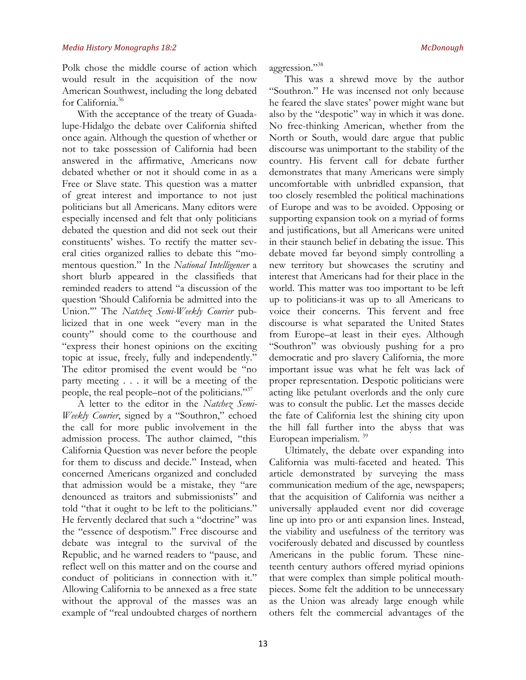Polk chose the middle course of action which would result in the acquisition of the now American Southwest, including the long debated for California.<sup>36</sup>

With the acceptance of the treaty of Guadalupe-Hidalgo the debate over California shifted once again. Although the question of whether or not to take possession of California had been answered in the affirmative, Americans now debated whether or not it should come in as a Free or Slave state. This question was a matter of great interest and importance to not just politicians but all Americans. Many editors were especially incensed and felt that only politicians debated the question and did not seek out their constituents' wishes. To rectify the matter several cities organized rallies to debate this "momentous question." In the *National Intelligencer* a short blurb appeared in the classifieds that reminded readers to attend "a discussion of the question 'Should California be admitted into the Union.'" The *Natchez Semi-Weekly Courier* publicized that in one week "every man in the county" should come to the courthouse and "express their honest opinions on the exciting topic at issue, freely, fully and independently." The editor promised the event would be "no party meeting . . . it will be a meeting of the people, the real people–not of the politicians."37

A letter to the editor in the *Natchez Semi-Weekly Courier*, signed by a "Southron," echoed the call for more public involvement in the admission process. The author claimed, "this California Question was never before the people for them to discuss and decide." Instead, when concerned Americans organized and concluded that admission would be a mistake, they "are denounced as traitors and submissionists" and told "that it ought to be left to the politicians." He fervently declared that such a "doctrine" was the "essence of despotism." Free discourse and debate was integral to the survival of the Republic, and he warned readers to "pause, and reflect well on this matter and on the course and conduct of politicians in connection with it." Allowing California to be annexed as a free state without the approval of the masses was an example of "real undoubted charges of northern aggression."38

This was a shrewd move by the author "Southron." He was incensed not only because he feared the slave states' power might wane but also by the "despotic" way in which it was done. No free-thinking American, whether from the North or South, would dare argue that public discourse was unimportant to the stability of the country. His fervent call for debate further demonstrates that many Americans were simply uncomfortable with unbridled expansion, that too closely resembled the political machinations of Europe and was to be avoided. Opposing or supporting expansion took on a myriad of forms and justifications, but all Americans were united in their staunch belief in debating the issue. This debate moved far beyond simply controlling a new territory but showcases the scrutiny and interest that Americans had for their place in the world. This matter was too important to be left up to politicians-it was up to all Americans to voice their concerns. This fervent and free discourse is what separated the United States from Europe–at least in their eyes. Although "Southron" was obviously pushing for a pro democratic and pro slavery California, the more important issue was what he felt was lack of proper representation. Despotic politicians were acting like petulant overlords and the only cure was to consult the public. Let the masses decide the fate of California lest the shining city upon the hill fall further into the abyss that was European imperialism.<sup>39</sup>

Ultimately, the debate over expanding into California was multi-faceted and heated. This article demonstrated by surveying the mass communication medium of the age, newspapers; that the acquisition of California was neither a universally applauded event nor did coverage line up into pro or anti expansion lines. Instead, the viability and usefulness of the territory was vociferously debated and discussed by countless Americans in the public forum. These nineteenth century authors offered myriad opinions that were complex than simple political mouthpieces. Some felt the addition to be unnecessary as the Union was already large enough while others felt the commercial advantages of the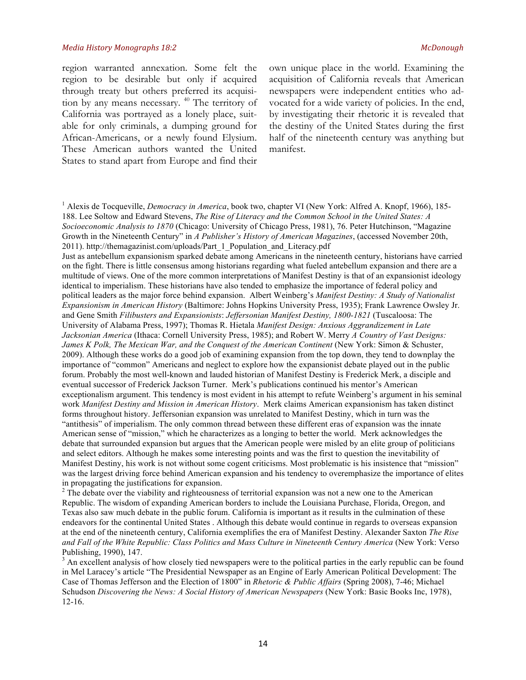region warranted annexation. Some felt the region to be desirable but only if acquired through treaty but others preferred its acquisition by any means necessary. 40 The territory of California was portrayed as a lonely place, suitable for only criminals, a dumping ground for African-Americans, or a newly found Elysium. These American authors wanted the United States to stand apart from Europe and find their own unique place in the world. Examining the acquisition of California reveals that American newspapers were independent entities who advocated for a wide variety of policies. In the end, by investigating their rhetoric it is revealed that the destiny of the United States during the first half of the nineteenth century was anything but manifest.

<sup>1</sup> Alexis de Tocqueville, *Democracy in America*, book two, chapter VI (New York: Alfred A. Knopf, 1966), 185-188. Lee Soltow and Edward Stevens, *The Rise of Literacy and the Common School in the United States: A Socioeconomic Analysis to 1870* (Chicago: University of Chicago Press, 1981), 76. Peter Hutchinson, "Magazine Growth in the Nineteenth Century" in *A Publisher's History of American Magazines*, (accessed November 20th, 2011). http://themagazinist.com/uploads/Part\_1\_Population\_and\_Literacy.pdf

Just as antebellum expansionism sparked debate among Americans in the nineteenth century, historians have carried on the fight. There is little consensus among historians regarding what fueled antebellum expansion and there are a multitude of views. One of the more common interpretations of Manifest Destiny is that of an expansionist ideology identical to imperialism. These historians have also tended to emphasize the importance of federal policy and political leaders as the major force behind expansion. Albert Weinberg's *Manifest Destiny: A Study of Nationalist Expansionism in American History* (Baltimore: Johns Hopkins University Press, 1935); Frank Lawrence Owsley Jr. and Gene Smith *Filibusters and Expansionists*: *Jeffersonian Manifest Destiny, 1800-1821* (Tuscaloosa: The University of Alabama Press, 1997); Thomas R. Hietala *Manifest Design: Anxious Aggrandizement in Late Jacksonian America* (Ithaca: Cornell University Press, 1985); and Robert W. Merry *A Country of Vast Designs: James K Polk, The Mexican War, and the Conquest of the American Continent* (New York: Simon & Schuster, 2009). Although these works do a good job of examining expansion from the top down, they tend to downplay the importance of "common" Americans and neglect to explore how the expansionist debate played out in the public forum. Probably the most well-known and lauded historian of Manifest Destiny is Frederick Merk, a disciple and eventual successor of Frederick Jackson Turner. Merk's publications continued his mentor's American exceptionalism argument. This tendency is most evident in his attempt to refute Weinberg's argument in his seminal work *Manifest Destiny and Mission in American History*. Merk claims American expansionism has taken distinct forms throughout history. Jeffersonian expansion was unrelated to Manifest Destiny, which in turn was the "antithesis" of imperialism. The only common thread between these different eras of expansion was the innate American sense of "mission," which he characterizes as a longing to better the world. Merk acknowledges the debate that surrounded expansion but argues that the American people were misled by an elite group of politicians and select editors. Although he makes some interesting points and was the first to question the inevitability of Manifest Destiny, his work is not without some cogent criticisms. Most problematic is his insistence that "mission" was the largest driving force behind American expansion and his tendency to overemphasize the importance of elites in propagating the justifications for expansion.<br><sup>2</sup> The debate over the viability and righteousness of territorial expansion was not a new one to the American

Republic. The wisdom of expanding American borders to include the Louisiana Purchase, Florida, Oregon, and Texas also saw much debate in the public forum. California is important as it results in the culmination of these endeavors for the continental United States . Although this debate would continue in regards to overseas expansion at the end of the nineteenth century, California exemplifies the era of Manifest Destiny. Alexander Saxton *The Rise and Fall of the White Republic: Class Politics and Mass Culture in Nineteenth Century America* (New York: Verso Publishing, 1990), 147.

<sup>3</sup> An excellent analysis of how closely tied newspapers were to the political parties in the early republic can be found in Mel Laracey's article "The Presidential Newspaper as an Engine of Early American Political Development: The Case of Thomas Jefferson and the Election of 1800" in *Rhetoric & Public Affairs* (Spring 2008), 7-46; Michael Schudson *Discovering the News: A Social History of American Newspapers* (New York: Basic Books Inc, 1978), 12-16.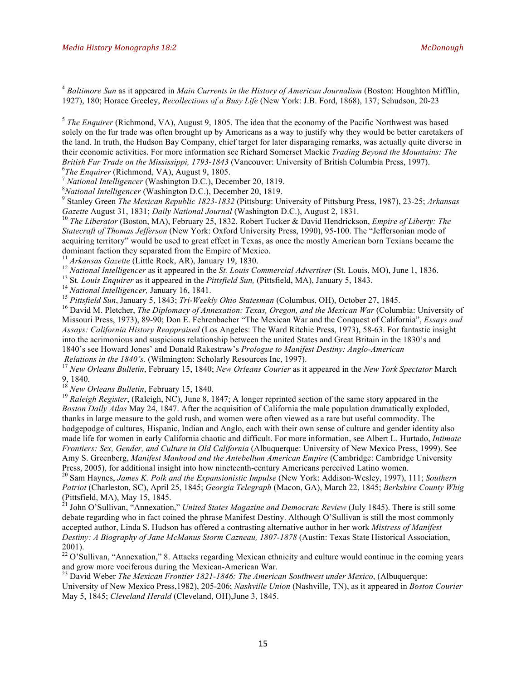<sup>4</sup> *Baltimore Sun* as it appeared in *Main Currents in the History of American Journalism* (Boston: Houghton Mifflin, 1927), 180; Horace Greeley, *Recollections of a Busy Life* (New York: J.B. Ford, 1868), 137; Schudson, 20-23

<sup>5</sup> *The Enquirer* (Richmond, VA), August 9, 1805. The idea that the economy of the Pacific Northwest was based solely on the fur trade was often brought up by Americans as a way to justify why they would be better caretakers of the land. In truth, the Hudson Bay Company, chief target for later disparaging remarks, was actually quite diverse in their economic activities. For more information see Richard Somerset Mackie *Trading Beyond the Mountains: The British Fur Trade on the Mississippi, 1793-1843* (Vancouver: University of British Columbia Press, 1997).<br><sup>6</sup>The Enquirer (Richmond, VA), August 9, 1805.

<sup>7</sup> *National Intelligencer* (Washington D.C.), December 20, 1819.<br><sup>8</sup> *National Intelligencer* (Washington D.C.), December 20, 1819.

<sup>9</sup> Stanley Green *The Mexican Republic 1823-1832* (Pittsburg: University of Pittsburg Press, 1987), 23-25; *Arkansas Gazette* August 31, 1831; *Daily National Journal* (Washington D.C.), August 2, 1831.<br><sup>10</sup> *The Liberator* (Boston, MA), February 25, 1832. Robert Tucker & David Hendrickson, *Empire of Liberty: The* 

*Statecraft of Thomas Jefferson* (New York: Oxford University Press, 1990), 95-100. The "Jeffersonian mode of acquiring territory" would be used to great effect in Texas, as once the mostly American born Texians became the dominant faction they separated from the Empire of Mexico.<br><sup>11</sup> Arkansas Gazette (Little Rock, AR), January 19, 1830.

<sup>12</sup> National Intelligencer as it appeared in the *St. Louis Commercial Advertiser* (St. Louis, MO), June 1, 1836.<br><sup>13</sup> St. Louis Enquirer as it appeared in the *Pittsfield Sun*, (Pittsfield, MA), January 5, 1843.<br><sup>14</sup> Na Missouri Press, 1973), 89-90; Don E. Fehrenbacher "The Mexican War and the Conquest of California", *Essays and Assays: California History Reappraised* (Los Angeles: The Ward Ritchie Press, 1973), 58-63. For fantastic insight into the acrimonious and suspicious relationship between the united States and Great Britain in the 1830's and 1840's see Howard Jones' and Donald Rakestraw's *Prologue to Manifest Destiny: Anglo-American*

*Relations in the 1840's.* (Wilmington: Scholarly Resources Inc, 1997). <sup>17</sup> *New Orleans Bulletin*, February 15, 1840; *New Orleans Courier* as it appeared in the *New York Spectator* March 9, 1840.<br><sup>18</sup> New Orleans Bulletin, February 15, 1840.

<sup>19</sup> Raleigh Register, (Raleigh, NC), June 8, 1847; A longer reprinted section of the same story appeared in the *Boston Daily Atlas* May 24, 1847. After the acquisition of California the male population dramatically exploded, thanks in large measure to the gold rush, and women were often viewed as a rare but useful commodity. The hodgepodge of cultures, Hispanic, Indian and Anglo, each with their own sense of culture and gender identity also made life for women in early California chaotic and difficult. For more information, see Albert L. Hurtado, *Intimate Frontiers: Sex, Gender, and Culture in Old California* (Albuquerque: University of New Mexico Press, 1999). See Amy S. Greenberg, *Manifest Manhood and the Antebellum American Empire* (Cambridge: Cambridge University Press, 2005), for additional insight into how nineteenth-century Americans perceived Latino women.

<sup>20</sup> Sam Haynes, James K. Polk and the Expansionistic Impulse (New York: Addison-Wesley, 1997), 111; Southern *Patriot* (Charleston, SC), April 25, 1845; *Georgia Telegraph* (Macon, GA), March 22, 1845; *Berkshire County Whig* (Pittsfield, MA), May 15, 1845.

<sup>21</sup> John O'Sullivan, "Annexation," *United States Magazine and Democratc Review* (July 1845). There is still some debate regarding who in fact coined the phrase Manifest Destiny. Although O'Sullivan is still the most commonly accepted author, Linda S. Hudson has offered a contrasting alternative author in her work *Mistress of Manifest Destiny: A Biography of Jane McManus Storm Cazneau, 1807-1878* (Austin: Texas State Historical Association, 2001).

<sup>22</sup> O'Sullivan, "Annexation," 8. Attacks regarding Mexican ethnicity and culture would continue in the coming years and grow more vociferous during the Mexican-American War. <sup>23</sup> David Weber *The Mexican Frontier 1821-1846: The American Southwest under Mexico*, (Albuquerque:

University of New Mexico Press,1982), 205-206; *Nashville Union* (Nashville, TN), as it appeared in *Boston Courier* May 5, 1845; *Cleveland Herald* (Cleveland, OH),June 3, 1845.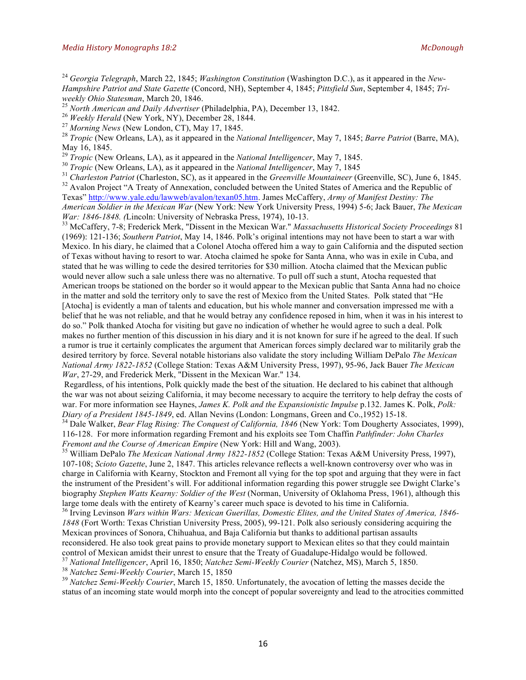<sup>24</sup> *Georgia Telegraph*, March 22, 1845; *Washington Constitution* (Washington D.C.), as it appeared in the *New-Hampshire Patriot and State Gazette* (Concord, NH), September 4, 1845; *Pittsfield Sun*, September 4, 1845; *Tri-*

<sup>25</sup> North American and Daily Advertiser (Philadelphia, PA), December 13, 1842.<br><sup>26</sup> Weekly Herald (New York, NY), December 28, 1844.<br><sup>27</sup> Morning News (New London, CT), May 17, 1845.<br><sup>27</sup> Tropic (New Orleans, LA), as it May 16, 1845.<br><sup>29</sup> *Tropic* (New Orleans, LA), as it appeared in the *National Intelligencer*, May 7, 1845.

<sup>30</sup> *Tropic* (New Orleans, LA), as it appeared in the *National Intelligencer*, May 7, 1845<br><sup>31</sup> *Charleston Patriot* (Charleston, SC), as it appeared in the *Greenville Mountaineer* (Greenville, SC), June 6, 1845.<br><sup>32</sup>

Texas" http://www.yale.edu/lawweb/avalon/texan05.htm. James McCaffery, *Army of Manifest Destiny: The American Soldier in the Mexican War* (New York: New York University Press, 1994) 5-6; Jack Bauer, *The Mexican* 

<sup>33</sup> McCaffery, 7-8; Frederick Merk, "Dissent in the Mexican War." *Massachusetts Historical Society Proceedings* 81 (1969): 121-136; *Southern Patriot*, May 14, 1846. Polk's original intentions may not have been to start a war with Mexico. In his diary, he claimed that a Colonel Atocha offered him a way to gain California and the disputed section of Texas without having to resort to war. Atocha claimed he spoke for Santa Anna, who was in exile in Cuba, and stated that he was willing to cede the desired territories for \$30 million. Atocha claimed that the Mexican public would never allow such a sale unless there was no alternative. To pull off such a stunt, Atocha requested that American troops be stationed on the border so it would appear to the Mexican public that Santa Anna had no choice in the matter and sold the territory only to save the rest of Mexico from the United States. Polk stated that "He [Atocha] is evidently a man of talents and education, but his whole manner and conversation impressed me with a belief that he was not reliable, and that he would betray any confidence reposed in him, when it was in his interest to do so." Polk thanked Atocha for visiting but gave no indication of whether he would agree to such a deal. Polk makes no further mention of this discussion in his diary and it is not known for sure if he agreed to the deal. If such a rumor is true it certainly complicates the argument that American forces simply declared war to militarily grab the

desired territory by force. Several notable historians also validate the story including William DePalo *The Mexican National Army 1822-1852* (College Station: Texas A&M University Press, 1997), 95-96, Jack Bauer *The Mexican War*, 27-29, and Frederick Merk, "Dissent in the Mexican War." 134.

Regardless, of his intentions, Polk quickly made the best of the situation. He declared to his cabinet that although the war was not about seizing California, it may become necessary to acquire the territory to help defray the costs of war. For more information see Haynes, *James K. Polk and the Expansionistic Impulse* p.132. James K. Polk, *Polk: Diary of a President 1845-1849*, ed. Allan Nevins (London: Longmans, Green and Co., 1952) 15-18.<br><sup>34</sup> Dale Walker, *Bear Flag Rising: The Conquest of California, 1846* (New York: Tom Dougherty Associates, 1999),

116-128. For more information regarding Fremont and his exploits see Tom Chaffin *Pathfinder: John Charles* 

<sup>35</sup> William DePalo *The Mexican National Army 1822-1852* (College Station: Texas A&M University Press, 1997), 107-108; *Scioto Gazette*, June 2, 1847. This articles relevance reflects a well-known controversy over who was in charge in California with Kearny, Stockton and Fremont all vying for the top spot and arguing that they were in fact the instrument of the President's will. For additional information regarding this power struggle see Dwight Clarke's biography *Stephen Watts Kearny: Soldier of the West* (Norman, University of Oklahoma Press, 1961), although this large tome deals with the entirety of Kearny's career much space is devoted to his time in California.

<sup>36</sup> Irving Levinson *Wars within Wars: Mexican Guerillas, Domestic Elites, and the United States of America, 1846- 1848* (Fort Worth: Texas Christian University Press, 2005), 99-121. Polk also seriously considering acquiring the Mexican provinces of Sonora, Chihuahua, and Baja California but thanks to additional partisan assaults reconsidered. He also took great pains to provide monetary support to Mexican elites so that they could maintain control of Mexican amidst their unrest to ensure that the Treaty of Guadalupe-Hidalgo would be followed.

<sup>37</sup> National Intelligencer, April 16, 1850; *Natchez Semi-Weekly Courier* (Natchez, MS), March 5, 1850.<br><sup>38</sup> Natchez Semi-Weekly Courier, March 15, 1850<br><sup>39</sup> Natchez Semi-Weekly Courier, March 15, 1850. Unfortunately, th status of an incoming state would morph into the concept of popular sovereignty and lead to the atrocities committed